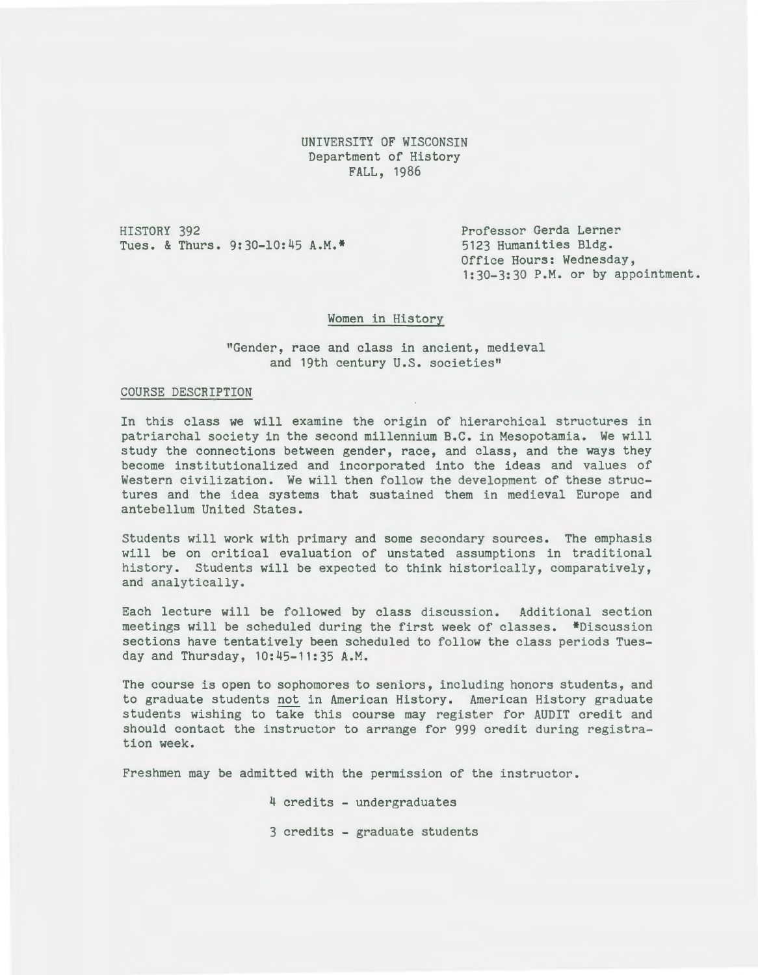UNIVERSITY OF WISCONSIN Department of History FALL, 1986

HISTORY 392 Tues. & Thurs. 9:30-10:45 A.M.\* 5123 Humanities Bldg.

Professor Gerda Lerner Office Hours: Wednesday, 1:30-3:30 P.M. or by appointment.

# Women in History

"Gender, race and class in ancient, medieval and 19th century U.S. societies"

### COURSE DESCRIPTION

In this class we will examine the origin of hierarchical structures in patriarchal society in the second millennium B.C. in Mesopotamia. We will study the connections between gender, race, and class, and the ways they become institutionalized and incorporated into the ideas and values of Western civilization. We will then follow the development of these structures and the idea systems that sustained them in medieval Europe and antebellum United States.

Students will work with primary and some secondary sources. The emphasis will be on critical evaluation of unstated assumptions in traditional history. Students will be expected to think historically, comparatively, and analytically.

Each lecture will be followed by class discussion. Additional section meetings will be scheduled during the first week of classes. \*Discussion sections have tentatively been scheduled to follow the class periods Tuesday and Thursday, 10:45-11:35 A.M.

The course is open to sophomores to seniors, including honors students, and to graduate students not in American History. American History graduate students wishing to take this course may register for AUDIT credit and should contact the instructor to arrange for 999 credit during registration week.

Freshmen may be admitted with the permission of the instructor.

4 credits - undergraduates

3 credits - graduate students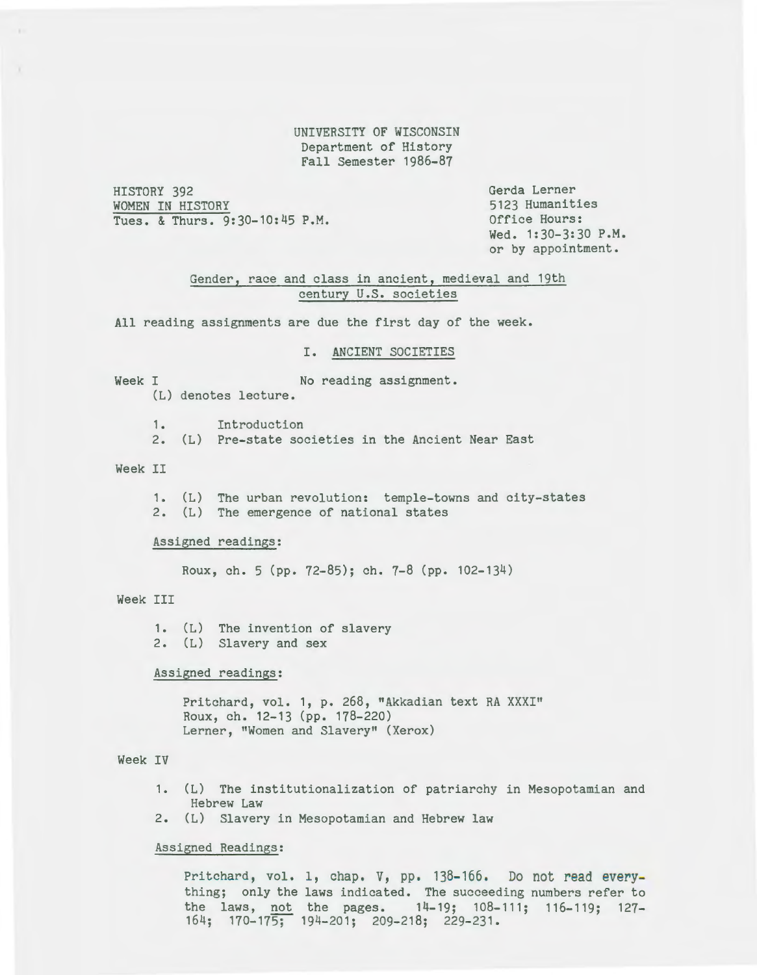UNIVERSITY OF WISCONSIN Department of History Fall Semester 1986-87

HISTORY 392 WOMEN IN HISTORY Tues. & Thurs. 9:30-10:45 P.M. Gerda Lerner 5123 Humanities Office Hours: Wed. 1:30-3:30 P.M. or by appointment.

Gender, race and class in ancient, medieval and 19th century U.S. societies

All reading assignments are due the first day of the week.

# I. ANCIENT SOCIETIES

Week I No reading assignment.

(L) denotes lecture.

1. Introduction

2. (L) Pre-state societies in the Ancient Near East

### Week II

1. (L) The urban revolution: temple-towns and city-states 2. (L) The emergence of national states

#### Assigned readings:

Raux, ch. 5 (pp. 72-85); ch. 7-8 (pp. 102-134)

### Week III

1. (L) The invention of slavery 2. (L) Slavery and sex

#### Assigned readings:

Pritchard, vol. 1, p. 268, "Akkadian text RA XXXI" Roux, ch. 12-13 (pp. 178-220) Lerner, "Women and Slavery" (Xerox)

# Week IV

- 1. (L) The institutionalization of patriarchy in Mesopotamian and Hebrew Law
- 2. (L) Slavery in Mesopotamian and Hebrew law

#### Assigned Readings:

Pritchard, vol. 1, chap. V, pp. 138-166. Do not read everything; only the laws indicated. The succeeding numbers refer to the laws, not the pages. 14-19; 108-111; 116-119; 127- 164; 170-175; 194-201; 209-218; 229-231.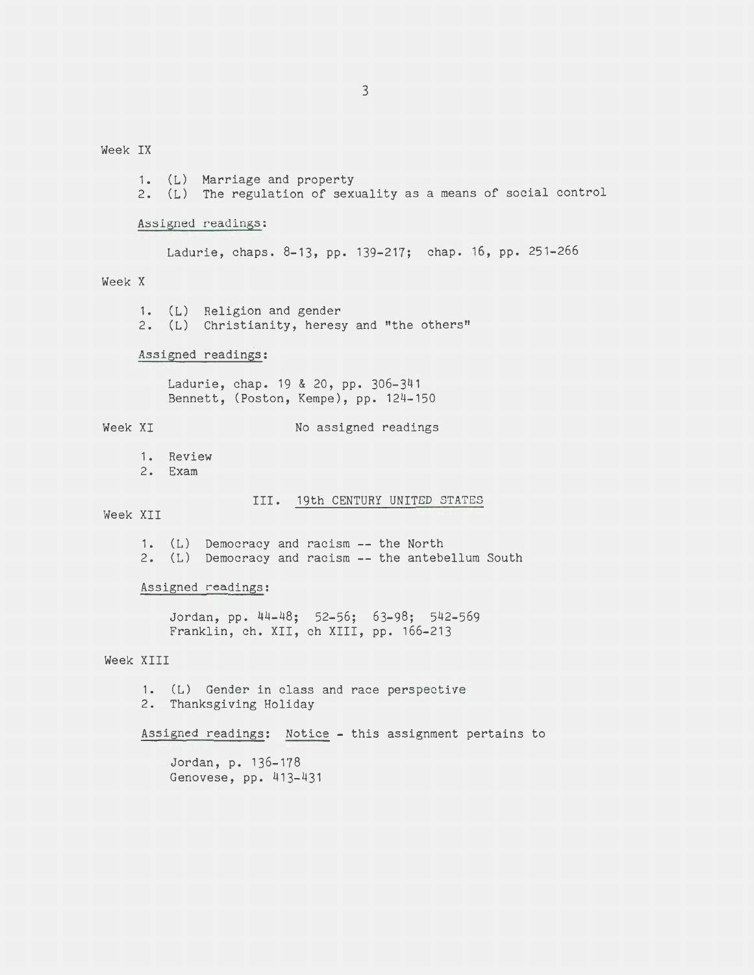Week IX

1. (L) Marriage and property 2. (L) The regulation of sexuality as a means of social control Assigned readings: Ladurie, chaps. 8-13, pp. 139-217; chap. 16, pp. 251-266 Week X 1. (L) Religion and gender 2. (L) Christianity, heresy and "the others" Assigned readings: Ladurie, chap. 19 & 20, pp. 306-341 Bennett, (Poston, Kempe), pp. 124-150 Week XI No assigned readings 1. Review 2. Exam III. 19th CENTURY UNITED STATES Week XII 1. (L) Democracy and racism -- the North 2. (L) Democracy and racism -- the antebellum South Assigned readings: Jordan, pp. 44-48; 52-56; 63-98; 542-569 Franklin, ch. XII, ch XIII, pp. 166-213 Week XIII 1. (L) Gender in class and race perspective 2. Thanksgiving Holiday Assigned readings: Notice - this assignment pertains to Jordan, p. 136-178 Genovese, pp. 413-431